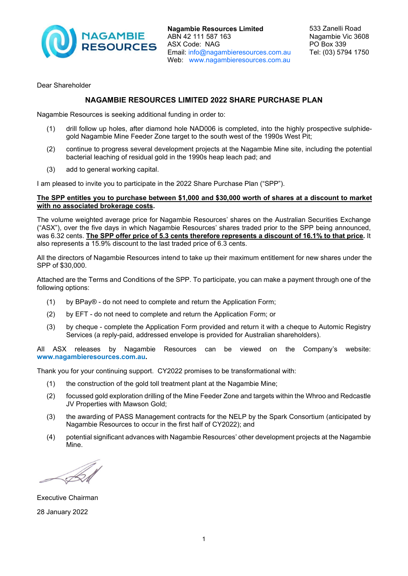

**Nagambie Resources Limited** ABN 42 111 587 163 ASX Code: NAG Email: info@nagambieresources.com.au Web: www.nagambieresources.com.au

Dear Shareholder

# **NAGAMBIE RESOURCES LIMITED 2022 SHARE PURCHASE PLAN**

Nagambie Resources is seeking additional funding in order to:

- (1) drill follow up holes, after diamond hole NAD006 is completed, into the highly prospective sulphidegold Nagambie Mine Feeder Zone target to the south west of the 1990s West Pit;
- (2) continue to progress several development projects at the Nagambie Mine site, including the potential bacterial leaching of residual gold in the 1990s heap leach pad; and
- (3) add to general working capital.

I am pleased to invite you to participate in the 2022 Share Purchase Plan ("SPP").

## **The SPP entitles you to purchase between \$1,000 and \$30,000 worth of shares at a discount to market with no associated brokerage costs.**

The volume weighted average price for Nagambie Resources' shares on the Australian Securities Exchange ("ASX"), over the five days in which Nagambie Resources' shares traded prior to the SPP being announced, was 6.32 cents. **The SPP offer price of 5.3 cents therefore represents a discount of 16.1% to that price.** It also represents a 15.9% discount to the last traded price of 6.3 cents.

All the directors of Nagambie Resources intend to take up their maximum entitlement for new shares under the SPP of \$30,000.

Attached are the Terms and Conditions of the SPP. To participate, you can make a payment through one of the following options:

- (1) by BPay® do not need to complete and return the Application Form;
- (2) by EFT do not need to complete and return the Application Form; or
- (3) by cheque complete the Application Form provided and return it with a cheque to Automic Registry Services (a reply-paid, addressed envelope is provided for Australian shareholders).

All ASX releases by Nagambie Resources can be viewed on the Company's website: **www.nagambieresources.com.au.**

Thank you for your continuing support. CY2022 promises to be transformational with:

- (1) the construction of the gold toll treatment plant at the Nagambie Mine;
- (2) focussed gold exploration drilling of the Mine Feeder Zone and targets within the Whroo and Redcastle JV Properties with Mawson Gold;
- (3) the awarding of PASS Management contracts for the NELP by the Spark Consortium (anticipated by Nagambie Resources to occur in the first half of CY2022); and
- (4) potential significant advances with Nagambie Resources' other development projects at the Nagambie Mine.

Executive Chairman 28 January 2022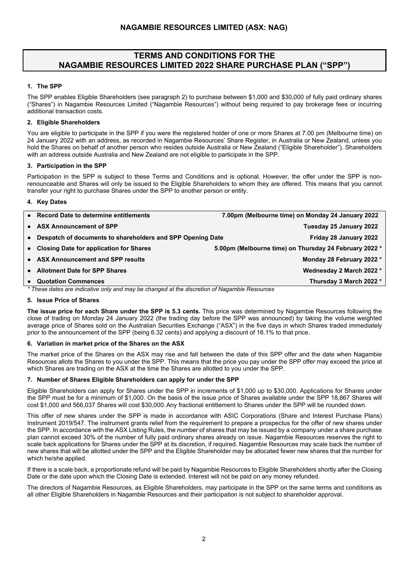# **TERMS AND CONDITIONS FOR THE NAGAMBIE RESOURCES LIMITED 2022 SHARE PURCHASE PLAN ("SPP")**

## **1. The SPP**

The SPP enables Eligible Shareholders (see paragraph 2) to purchase between \$1,000 and \$30,000 of fully paid ordinary shares ("Shares") in Nagambie Resources Limited ("Nagambie Resources") without being required to pay brokerage fees or incurring additional transaction costs.

## **2. Eligible Shareholders**

You are eligible to participate in the SPP if you were the registered holder of one or more Shares at 7.00 pm (Melbourne time) on 24 January 2022 with an address, as recorded in Nagambie Resources' Share Register, in Australia or New Zealand, unless you hold the Shares on behalf of another person who resides outside Australia or New Zealand ("Eligible Shareholder"). Shareholders with an address outside Australia and New Zealand are not eligible to participate in the SPP.

## **3. Participation in the SPP**

Participation in the SPP is subject to these Terms and Conditions and is optional. However, the offer under the SPP is nonrenounceable and Shares will only be issued to the Eligible Shareholders to whom they are offered. This means that you cannot transfer your right to purchase Shares under the SPP to another person or entity.

## **4. Key Dates**

| • Record Date to determine entitlements                      | 7.00pm (Melbourne time) on Monday 24 January 2022      |
|--------------------------------------------------------------|--------------------------------------------------------|
| • ASX Announcement of SPP                                    | Tuesday 25 January 2022                                |
| • Despatch of documents to shareholders and SPP Opening Date | Friday 28 January 2022                                 |
| • Closing Date for application for Shares                    | 5.00pm (Melbourne time) on Thursday 24 February 2022 * |
| • ASX Announcement and SPP results                           | Monday 28 February 2022 *                              |
| • Allotment Date for SPP Shares                              | Wednesday 2 March 2022 *                               |
| • Quotation Commences                                        | Thursday 3 March 2022 *                                |

*\* These dates are indicative only and may be changed at the discretion of Nagambie Resources*

## **5. Issue Price of Shares**

**The issue price for each Share under the SPP is 5.3 cents.** This price was determined by Nagambie Resources following the close of trading on Monday 24 January 2022 (the trading day before the SPP was announced) by taking the volume weighted average price of Shares sold on the Australian Securities Exchange ("ASX") in the five days in which Shares traded immediately prior to the announcement of the SPP (being 6.32 cents) and applying a discount of 16.1% to that price.

## **6. Variation in market price of the Shares on the ASX**

The market price of the Shares on the ASX may rise and fall between the date of this SPP offer and the date when Nagambie Resources allots the Shares to you under the SPP. This means that the price you pay under the SPP offer may exceed the price at which Shares are trading on the ASX at the time the Shares are allotted to you under the SPP.

## **7. Number of Shares Eligible Shareholders can apply for under the SPP**

Eligible Shareholders can apply for Shares under the SPP in increments of \$1,000 up to \$30,000. Applications for Shares under the SPP must be for a minimum of \$1,000. On the basis of the issue price of Shares available under the SPP 18,867 Shares will cost \$1,000 and 566,037 Shares will cost \$30,000.Any fractional entitlement to Shares under the SPP will be rounded down.

This offer of new shares under the SPP is made in accordance with ASIC Corporations (Share and Interest Purchase Plans) Instrument 2019/547. The instrument grants relief from the requirement to prepare a prospectus for the offer of new shares under the SPP. In accordance with the ASX Listing Rules, the number of shares that may be issued by a company under a share purchase plan cannot exceed 30% of the number of fully paid ordinary shares already on issue. Nagambie Resources reserves the right to scale back applications for Shares under the SPP at its discretion, if required. Nagambie Resources may scale back the number of new shares that will be allotted under the SPP and the Eligible Shareholder may be allocated fewer new shares that the number for which he/she applied.

If there is a scale back, a proportionate refund will be paid by Nagambie Resources to Eligible Shareholders shortly after the Closing Date or the date upon which the Closing Date is extended. Interest will not be paid on any money refunded.

The directors of Nagambie Resources, as Eligible Shareholders, may participate in the SPP on the same terms and conditions as all other Eligible Shareholders in Nagambie Resources and their participation is not subject to shareholder approval.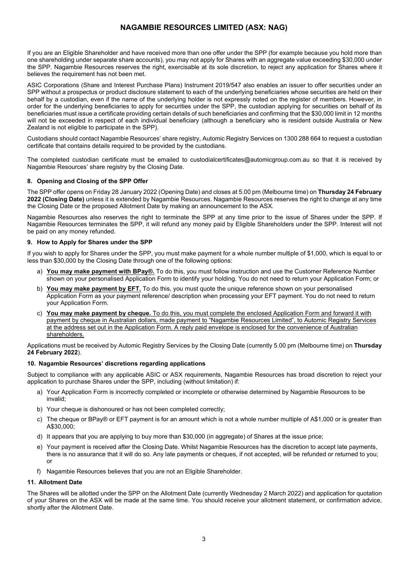# **NAGAMBIE RESOURCES LIMITED (ASX: NAG)**

If you are an Eligible Shareholder and have received more than one offer under the SPP (for example because you hold more than one shareholding under separate share accounts), you may not apply for Shares with an aggregate value exceeding \$30,000 under the SPP. Nagambie Resources reserves the right, exercisable at its sole discretion, to reject any application for Shares where it believes the requirement has not been met.

ASIC Corporations (Share and Interest Purchase Plans) Instrument 2019/547 also enables an issuer to offer securities under an SPP without a prospectus or product disclosure statement to each of the underlying beneficiaries whose securities are held on their behalf by a custodian, even if the name of the underlying holder is not expressly noted on the register of members. However, in order for the underlying beneficiaries to apply for securities under the SPP, the custodian applying for securities on behalf of its beneficiaries must issue a certificate providing certain details of such beneficiaries and confirming that the \$30,000 limit in 12 months will not be exceeded in respect of each individual beneficiary (although a beneficiary who is resident outside Australia or New Zealand is not eligible to participate in the SPP).

Custodians should contact Nagambie Resources' share registry, Automic Registry Services on 1300 288 664 to request a custodian certificate that contains details required to be provided by the custodians.

The completed custodian certificate must be emailed to custodialcertificates@automicgroup.com.au so that it is received by Nagambie Resources' share registry by the Closing Date.

## **8. Opening and Closing of the SPP Offer**

The SPP offer opens on Friday 28 January 2022 (Opening Date) and closes at 5.00 pm (Melbourne time) on **Thursday 24 February 2022 (Closing Date)** unless it is extended by Nagambie Resources. Nagambie Resources reserves the right to change at any time the Closing Date or the proposed Allotment Date by making an announcement to the ASX.

Nagambie Resources also reserves the right to terminate the SPP at any time prior to the issue of Shares under the SPP. If Nagambie Resources terminates the SPP, it will refund any money paid by Eligible Shareholders under the SPP. Interest will not be paid on any money refunded.

#### **9. How to Apply for Shares under the SPP**

If you wish to apply for Shares under the SPP, you must make payment for a whole number multiple of \$1,000, which is equal to or less than \$30,000 by the Closing Date through one of the following options:

- a) **You may make payment with BPay®.** To do this, you must follow instruction and use the Customer Reference Number shown on your personalised Application Form to identify your holding. You do not need to return your Application Form; or
- b) **You may make payment by EFT.** To do this, you must quote the unique reference shown on your personalised Application Form as your payment reference/ description when processing your EFT payment. You do not need to return your Application Form.
- c) **You may make payment by cheque.** To do this, you must complete the enclosed Application Form and forward it with payment by cheque in Australian dollars, made payment to "Nagambie Resources Limited", to Automic Registry Services at the address set out in the Application Form. A reply paid envelope is enclosed for the convenience of Australian shareholders.

Applications must be received by Automic Registry Services by the Closing Date (currently 5.00 pm (Melbourne time) on **Thursday 24 February 2022**).

#### **10. Nagambie Resources' discretions regarding applications**

Subject to compliance with any applicable ASIC or ASX requirements, Nagambie Resources has broad discretion to reject your application to purchase Shares under the SPP, including (without limitation) if:

- a) Your Application Form is incorrectly completed or incomplete or otherwise determined by Nagambie Resources to be invalid;
- b) Your cheque is dishonoured or has not been completed correctly;
- c) The cheque or BPay® or EFT payment is for an amount which is not a whole number multiple of A\$1,000 or is greater than A\$30,000;
- d) It appears that you are applying to buy more than \$30,000 (in aggregate) of Shares at the issue price;
- e) Your payment is received after the Closing Date. Whilst Nagambie Resources has the discretion to accept late payments, there is no assurance that it will do so. Any late payments or cheques, if not accepted, will be refunded or returned to you; or
- f) Nagambie Resources believes that you are not an Eligible Shareholder.

### **11. Allotment Date**

The Shares will be allotted under the SPP on the Allotment Date (currently Wednesday 2 March 2022) and application for quotation of your Shares on the ASX will be made at the same time. You should receive your allotment statement, or confirmation advice, shortly after the Allotment Date.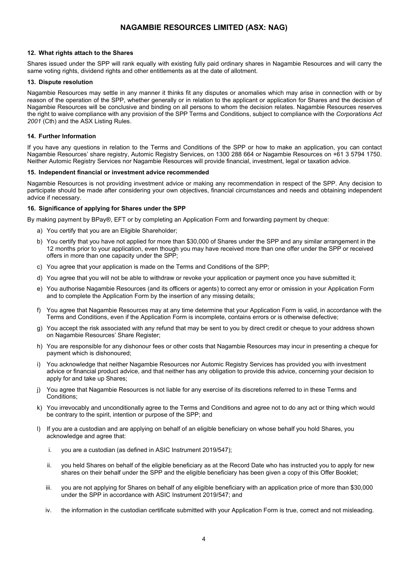## **NAGAMBIE RESOURCES LIMITED (ASX: NAG)**

#### **12. What rights attach to the Shares**

Shares issued under the SPP will rank equally with existing fully paid ordinary shares in Nagambie Resources and will carry the same voting rights, dividend rights and other entitlements as at the date of allotment.

#### **13. Dispute resolution**

Nagambie Resources may settle in any manner it thinks fit any disputes or anomalies which may arise in connection with or by reason of the operation of the SPP, whether generally or in relation to the applicant or application for Shares and the decision of Nagambie Resources will be conclusive and binding on all persons to whom the decision relates. Nagambie Resources reserves the right to waive compliance with any provision of the SPP Terms and Conditions, subject to compliance with the *Corporations Act 2001* (Cth) and the ASX Listing Rules.

#### **14. Further Information**

If you have any questions in relation to the Terms and Conditions of the SPP or how to make an application, you can contact Nagambie Resources' share registry, Automic Registry Services, on 1300 288 664 or Nagambie Resources on +61 3 5794 1750. Neither Automic Registry Services nor Nagambie Resources will provide financial, investment, legal or taxation advice.

#### **15. Independent financial or investment advice recommended**

Nagambie Resources is not providing investment advice or making any recommendation in respect of the SPP. Any decision to participate should be made after considering your own objectives, financial circumstances and needs and obtaining independent advice if necessary.

#### **16. Significance of applying for Shares under the SPP**

By making payment by BPay®, EFT or by completing an Application Form and forwarding payment by cheque:

- a) You certify that you are an Eligible Shareholder;
- b) You certify that you have not applied for more than \$30,000 of Shares under the SPP and any similar arrangement in the 12 months prior to your application, even though you may have received more than one offer under the SPP or received offers in more than one capacity under the SPP;
- c) You agree that your application is made on the Terms and Conditions of the SPP;
- d) You agree that you will not be able to withdraw or revoke your application or payment once you have submitted it;
- e) You authorise Nagambie Resources (and its officers or agents) to correct any error or omission in your Application Form and to complete the Application Form by the insertion of any missing details;
- f) You agree that Nagambie Resources may at any time determine that your Application Form is valid, in accordance with the Terms and Conditions, even if the Application Form is incomplete, contains errors or is otherwise defective;
- g) You accept the risk associated with any refund that may be sent to you by direct credit or cheque to your address shown on Nagambie Resources' Share Register;
- h) You are responsible for any dishonour fees or other costs that Nagambie Resources may incur in presenting a cheque for payment which is dishonoured;
- You acknowledge that neither Nagambie Resources nor Automic Registry Services has provided you with investment advice or financial product advice, and that neither has any obligation to provide this advice, concerning your decision to apply for and take up Shares;
- j) You agree that Nagambie Resources is not liable for any exercise of its discretions referred to in these Terms and Conditions;
- k) You irrevocably and unconditionally agree to the Terms and Conditions and agree not to do any act or thing which would be contrary to the spirit, intention or purpose of the SPP; and
- l) If you are a custodian and are applying on behalf of an eligible beneficiary on whose behalf you hold Shares, you acknowledge and agree that:
	- i. you are a custodian (as defined in ASIC Instrument 2019/547);
	- ii. you held Shares on behalf of the eligible beneficiary as at the Record Date who has instructed you to apply for new shares on their behalf under the SPP and the eligible beneficiary has been given a copy of this Offer Booklet;
	- iii. you are not applying for Shares on behalf of any eligible beneficiary with an application price of more than \$30,000 under the SPP in accordance with ASIC Instrument 2019/547; and
	- iv. the information in the custodian certificate submitted with your Application Form is true, correct and not misleading.